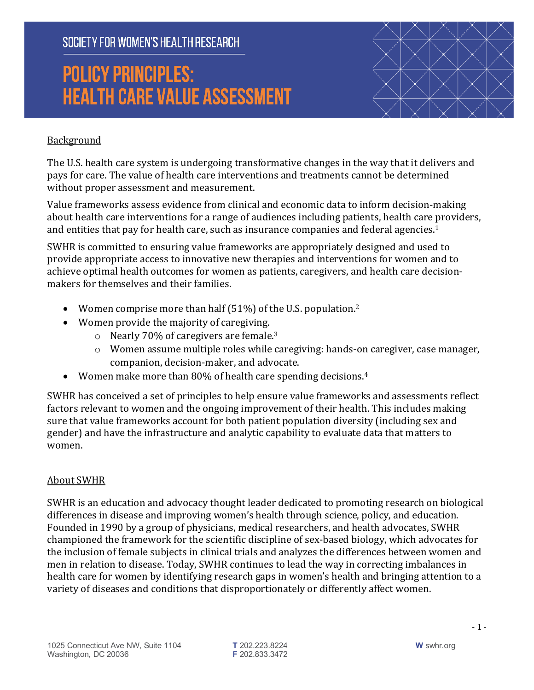# **POLICY PRINCIPLES: HEALTH CARE VALUE ASSESSMENT**



#### Background

The U.S. health care system is undergoing transformative changes in the way that it delivers and pays for care. The value of health care interventions and treatments cannot be determined without proper assessment and measurement.

Value frameworks assess evidence from clinical and economic data to inform decision-making about health care interventions for a range of audiences including patients, health care providers, and entities that pay for health care, such as insurance companies and federal agencies.<sup>1</sup>

SWHR is committed to ensuring value frameworks are appropriately designed and used to provide appropriate access to innovative new therapies and interventions for women and to achieve optimal health outcomes for women as patients, caregivers, and health care decisionmakers for themselves and their families.

- Women comprise more than half  $(51%)$  of the U.S. population.<sup>2</sup>
- Women provide the majority of caregiving.
	- $\circ$  Nearly 70% of caregivers are female.<sup>3</sup>
	- o Women assume multiple roles while caregiving: hands-on caregiver, case manager, companion, decision-maker, and advocate.
- Women make more than 80% of health care spending decisions.<sup>4</sup>

SWHR has conceived a set of principles to help ensure value frameworks and assessments reflect factors relevant to women and the ongoing improvement of their health. This includes making sure that value frameworks account for both patient population diversity (including sex and gender) and have the infrastructure and analytic capability to evaluate data that matters to women. 

#### **About SWHR**

SWHR is an education and advocacy thought leader dedicated to promoting research on biological differences in disease and improving women's health through science, policy, and education. Founded in 1990 by a group of physicians, medical researchers, and health advocates, SWHR championed the framework for the scientific discipline of sex-based biology, which advocates for the inclusion of female subjects in clinical trials and analyzes the differences between women and men in relation to disease. Today, SWHR continues to lead the way in correcting imbalances in health care for women by identifying research gaps in women's health and bringing attention to a variety of diseases and conditions that disproportionately or differently affect women.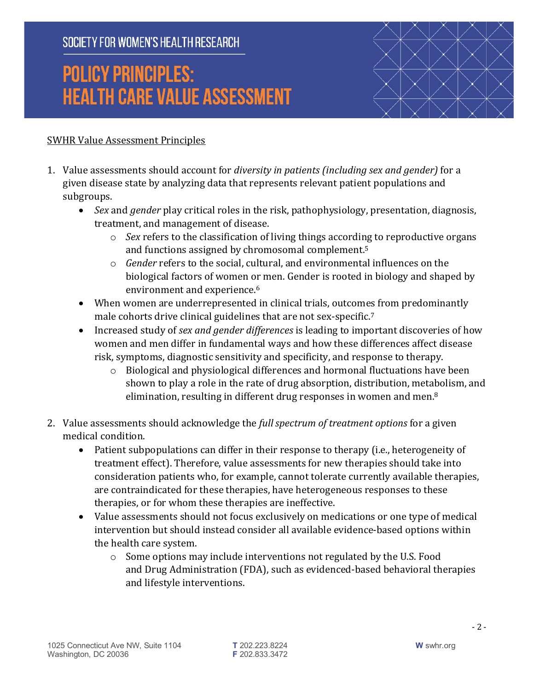# **POLICY PRINCIPLES: HEALTH CARE VALUE ASSESSMENT**



#### **SWHR Value Assessment Principles**

- 1. Value assessments should account for *diversity in patients (including sex and gender)* for a given disease state by analyzing data that represents relevant patient populations and subgroups.
	- *Sex* and *gender* play critical roles in the risk, pathophysiology, presentation, diagnosis, treatment, and management of disease.
		- $\circ$  *Sex* refers to the classification of living things according to reproductive organs and functions assigned by chromosomal complement.<sup>5</sup>
		- $\circ$  *Gender* refers to the social, cultural, and environmental influences on the biological factors of women or men. Gender is rooted in biology and shaped by environment and experience.<sup>6</sup>
	- When women are underrepresented in clinical trials, outcomes from predominantly male cohorts drive clinical guidelines that are not sex-specific.<sup>7</sup>
	- Increased study of *sex and gender differences* is leading to important discoveries of how women and men differ in fundamental ways and how these differences affect disease risk, symptoms, diagnostic sensitivity and specificity, and response to therapy.
		- $\circ$  Biological and physiological differences and hormonal fluctuations have been shown to play a role in the rate of drug absorption, distribution, metabolism, and elimination, resulting in different drug responses in women and men. $8$
- 2. Value assessments should acknowledge the *full spectrum of treatment options* for a given medical condition.
	- Patient subpopulations can differ in their response to therapy (i.e., heterogeneity of treatment effect). Therefore, value assessments for new therapies should take into consideration patients who, for example, cannot tolerate currently available therapies, are contraindicated for these therapies, have heterogeneous responses to these therapies, or for whom these therapies are ineffective.
	- Value assessments should not focus exclusively on medications or one type of medical intervention but should instead consider all available evidence-based options within the health care system.
		- $\circ$  Some options may include interventions not regulated by the U.S. Food and Drug Administration (FDA), such as evidenced-based behavioral therapies and lifestyle interventions.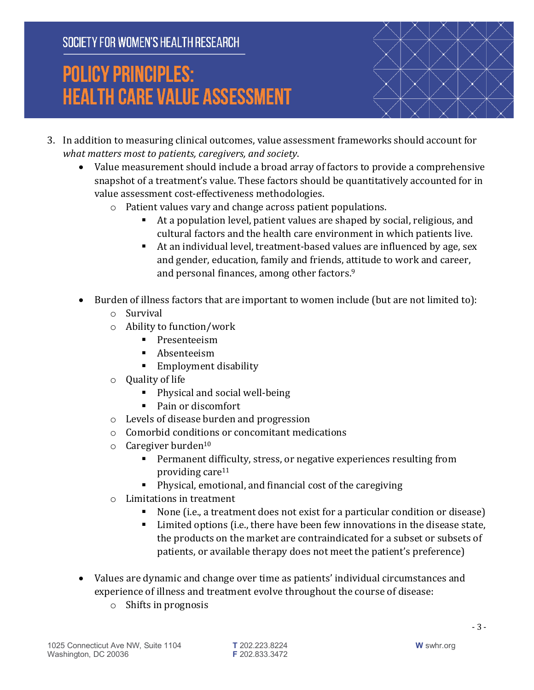# **POLICY PRINCIPLES: HEALTH CARE VALUE ASSESSMENT**



- 3. In addition to measuring clinical outcomes, value assessment frameworks should account for *what matters most to patients, caregivers, and society.* 
	- Value measurement should include a broad array of factors to provide a comprehensive snapshot of a treatment's value. These factors should be quantitatively accounted for in value assessment cost-effectiveness methodologies.
		- $\circ$  Patient values vary and change across patient populations.
			- At a population level, patient values are shaped by social, religious, and cultural factors and the health care environment in which patients live.
			- At an individual level, treatment-based values are influenced by age, sex and gender, education, family and friends, attitude to work and career, and personal finances, among other factors.<sup>9</sup>
	- Burden of illness factors that are important to women include (but are not limited to):
		- o Survival
		- $\circ$  Ability to function/work
			- § Presenteeism
			- Absenteeism
			- Employment disability
		- $\circ$  Quality of life
			- Physical and social well-being
			- Pain or discomfort
		- $\circ$  Levels of disease burden and progression
		- $\circ$  Comorbid conditions or concomitant medications
		- $\circ$  Caregiver burden<sup>10</sup>
			- Permanent difficulty, stress, or negative experiences resulting from providing care<sup>11</sup>
			- Physical, emotional, and financial cost of the caregiving
		- $\circ$  Limitations in treatment
			- None (i.e., a treatment does not exist for a particular condition or disease)
			- Limited options (i.e., there have been few innovations in the disease state, the products on the market are contraindicated for a subset or subsets of patients, or available therapy does not meet the patient's preference)
	- Values are dynamic and change over time as patients' individual circumstances and experience of illness and treatment evolve throughout the course of disease:
		- $\circ$  Shifts in prognosis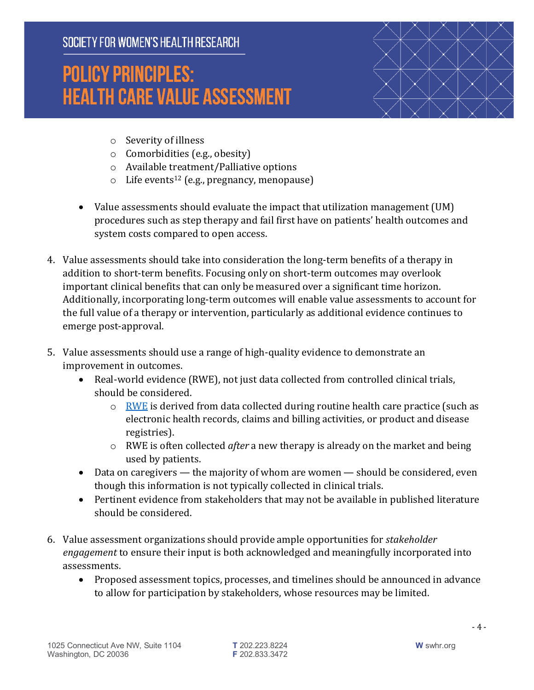# **POLICY PRINCIPLES: HEALTH CARE VALUE ASSESSMENT**



- $\circ$  Severity of illness
- $\circ$  Comorbidities (e.g., obesity)
- $\circ$  Available treatment/Palliative options
- $\circ$  Life events<sup>12</sup> (e.g., pregnancy, menopause)
- Value assessments should evaluate the impact that utilization management (UM) procedures such as step therapy and fail first have on patients' health outcomes and system costs compared to open access.
- 4. Value assessments should take into consideration the long-term benefits of a therapy in addition to short-term benefits. Focusing only on short-term outcomes may overlook important clinical benefits that can only be measured over a significant time horizon. Additionally, incorporating long-term outcomes will enable value assessments to account for the full value of a therapy or intervention, particularly as additional evidence continues to emerge post-approval.
- 5. Value assessments should use a range of high-quality evidence to demonstrate an improvement in outcomes.
	- Real-world evidence (RWE), not just data collected from controlled clinical trials, should be considered.
		- $\circ$  RWE is derived from data collected during routine health care practice (such as electronic health records, claims and billing activities, or product and disease registries).
		- o RWE is often collected *after* a new therapy is already on the market and being used by patients.
	- Data on caregivers  $-$  the majority of whom are women  $-$  should be considered, even though this information is not typically collected in clinical trials.
	- Pertinent evidence from stakeholders that may not be available in published literature should be considered.
- 6. Value assessment organizations should provide ample opportunities for *stakeholder engagement* to ensure their input is both acknowledged and meaningfully incorporated into assessments.
	- Proposed assessment topics, processes, and timelines should be announced in advance to allow for participation by stakeholders, whose resources may be limited.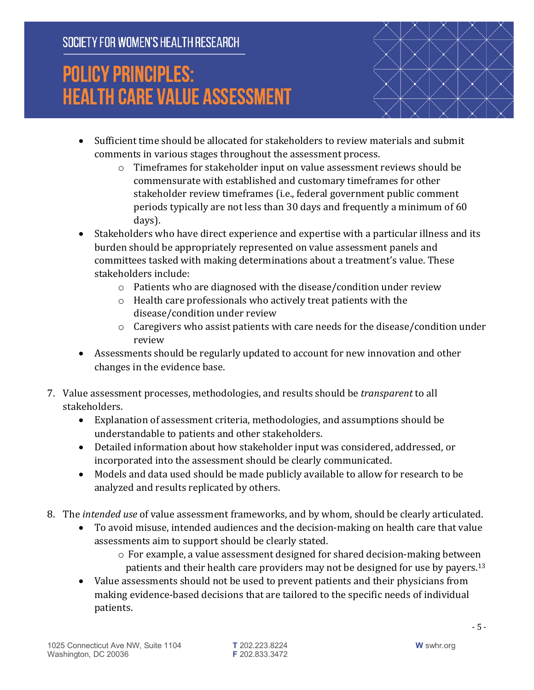# **POLICY PRINCIPLES: HEALTH CARE VALUE ASSESSMENT**



- Sufficient time should be allocated for stakeholders to review materials and submit comments in various stages throughout the assessment process.
	- $\circ$  Timeframes for stakeholder input on value assessment reviews should be commensurate with established and customary timeframes for other stakeholder review timeframes (i.e., federal government public comment periods typically are not less than 30 days and frequently a minimum of 60 days).
- Stakeholders who have direct experience and expertise with a particular illness and its burden should be appropriately represented on value assessment panels and committees tasked with making determinations about a treatment's value. These stakeholders include:
	- $\circ$  Patients who are diagnosed with the disease/condition under review
	- $\circ$  Health care professionals who actively treat patients with the disease/condition under review
	- $\circ$  Caregivers who assist patients with care needs for the disease/condition under review
- Assessments should be regularly updated to account for new innovation and other changes in the evidence base.
- 7. Value assessment processes, methodologies, and results should be *transparent* to all stakeholders.
	- Explanation of assessment criteria, methodologies, and assumptions should be understandable to patients and other stakeholders.
	- Detailed information about how stakeholder input was considered, addressed, or incorporated into the assessment should be clearly communicated.
	- Models and data used should be made publicly available to allow for research to be analyzed and results replicated by others.
- 8. The *intended use* of value assessment frameworks, and by whom, should be clearly articulated.
	- To avoid misuse, intended audiences and the decision-making on health care that value assessments aim to support should be clearly stated.
		- $\circ$  For example, a value assessment designed for shared decision-making between patients and their health care providers may not be designed for use by payers.<sup>13</sup>
	- Value assessments should not be used to prevent patients and their physicians from making evidence-based decisions that are tailored to the specific needs of individual patients.